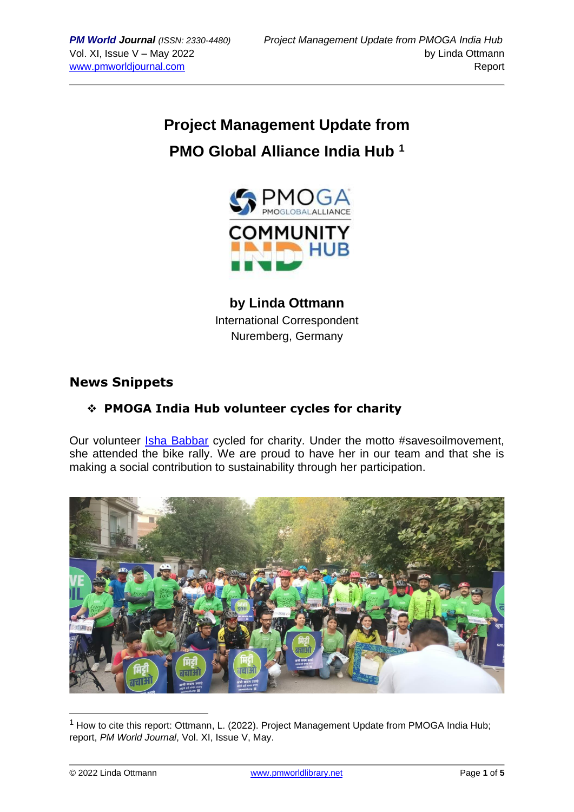# **Project Management Update from PMO Global Alliance India Hub <sup>1</sup>**



**by Linda Ottmann** International Correspondent Nuremberg, Germany

# **News Snippets**

# ❖ **PMOGA India Hub volunteer cycles for charity**

Our volunteer [Isha Babbar](https://www.linkedin.com/in/ishakbabbar/) cycled for charity. Under the motto #savesoilmovement, she attended the bike rally. We are proud to have her in our team and that she is making a social contribution to sustainability through her participation.



 $<sup>1</sup>$  How to cite this report: Ottmann, L. (2022). Project Management Update from PMOGA India Hub;</sup> report, *PM World Journal*, Vol. XI, Issue V, May.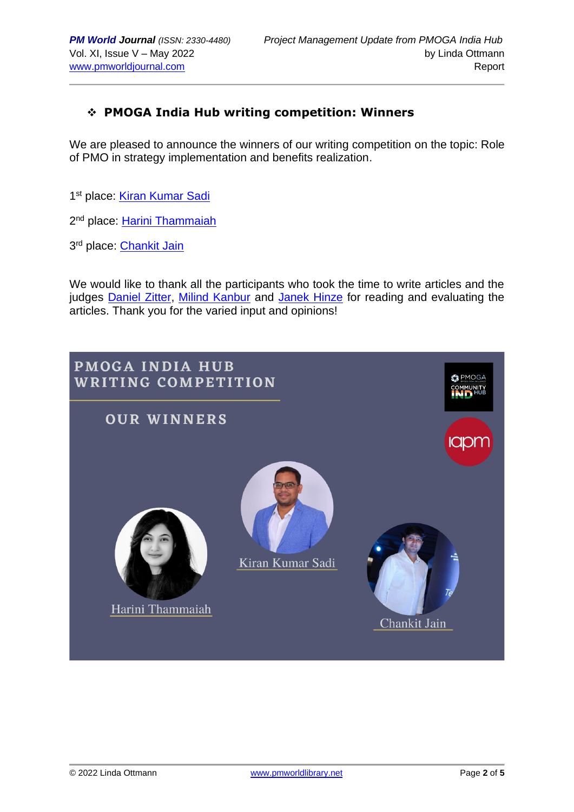### ❖ **PMOGA India Hub writing competition: Winners**

We are pleased to announce the winners of our writing competition on the topic: Role of PMO in strategy implementation and benefits realization.

1<sup>st</sup> place: **[Kiran Kumar Sadi](https://www.linkedin.com/in/kiran-kumar-sadi-iim-k-962b6840/)** 

2<sup>nd</sup> place: <u>[Harini Thammaiah](https://www.linkedin.com/in/harini-thammaiah-1041a1122/)</u>

3<sup>rd</sup> place: <u>[Chankit Jain](https://www.linkedin.com/in/chankit-jain-63415899/)</u>

We would like to thank all the participants who took the time to write articles and the judges [Daniel Zitter,](https://www.linkedin.com/in/danielzitter/) [Milind Kanbur](https://www.linkedin.com/in/milind-kanbur/) and [Janek Hinze](https://www.linkedin.com/in/janek-hinze-b30378226/) for reading and evaluating the articles. Thank you for the varied input and opinions!

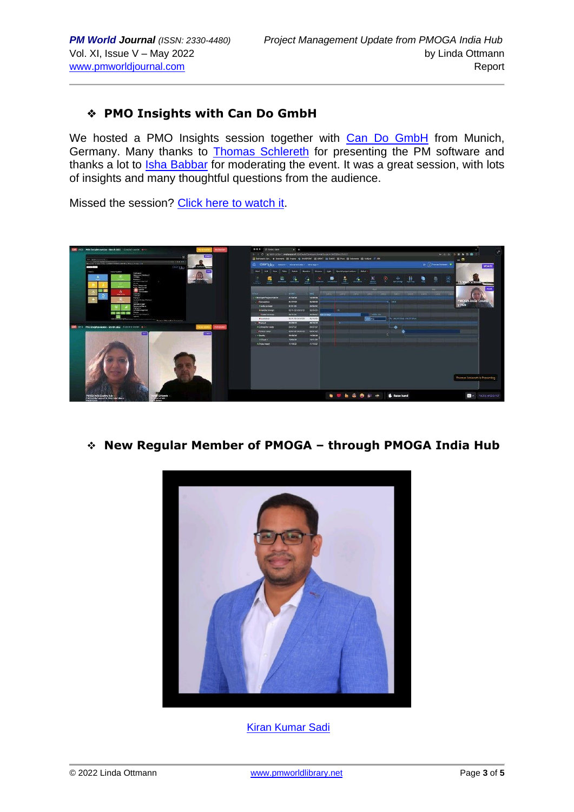#### ❖ **PMO Insights with Can Do GmbH**

We hosted a PMO Insights session together with [Can Do GmbH](https://www.can-do.de/en/) from Munich, Germany. Many thanks to **Thomas Schlereth** for presenting the PM software and thanks a lot to *Isha Babbar* for moderating the event. It was a great session, with lots of insights and many thoughtful questions from the audience.

Missed the session? [Click here to watch it.](https://www.youtube.com/watch?v=Z5qAujtW5CY&ab_channel=GauravDhooper)



❖ **New Regular Member of PMOGA – through PMOGA India Hub**



[Kiran Kumar Sadi](https://www.linkedin.com/in/kiran-kumar-sadi-iim-k-962b6840/)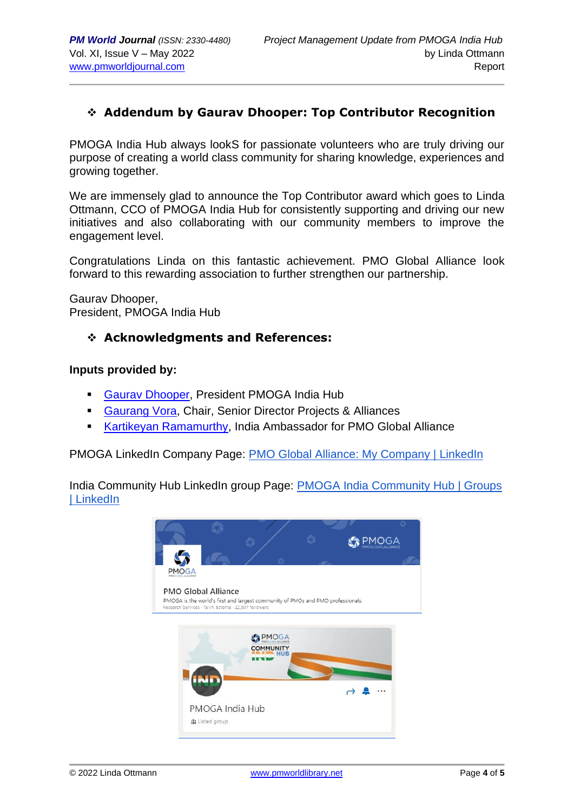### ❖ **Addendum by Gaurav Dhooper: Top Contributor Recognition**

PMOGA India Hub always lookS for passionate volunteers who are truly driving our purpose of creating a world class community for sharing knowledge, experiences and growing together.

We are immensely glad to announce the Top Contributor award which goes to Linda Ottmann, CCO of PMOGA India Hub for consistently supporting and driving our new initiatives and also collaborating with our community members to improve the engagement level.

Congratulations Linda on this fantastic achievement. PMO Global Alliance look forward to this rewarding association to further strengthen our partnership.

Gaurav Dhooper, President, PMOGA India Hub

#### ❖ **Acknowledgments and References:**

#### **Inputs provided by:**

- **[Gaurav Dhooper,](https://www.linkedin.com/in/gaurav-dhooper-pal-i%C2%AE-pmi-acp%C2%AE-safe4%C2%AE-csm%C2%AE-lss-gb-b871a5a/) President PMOGA India Hub**
- [Gaurang Vora,](https://www.linkedin.com/in/gaurang-vora-a0255a1b/) Chair, Senior Director Projects & Alliances
- [Kartikeyan Ramamurthy,](https://www.linkedin.com/in/kartikeyan-ramamurthy-pmp%C2%AE-pfmp%C2%AE-pmo-cp%C2%AE-safe-5%C2%AE-agilist-555b3714/) India Ambassador for PMO Global Alliance

PMOGA LinkedIn Company Page: [PMO Global Alliance: My Company | LinkedIn](https://www.linkedin.com/company/pmoga/mycompany/)

India Community Hub LinkedIn group Page: [PMOGA India Community Hub | Groups](https://www.linkedin.com/groups/13985237/)  [| LinkedIn](https://www.linkedin.com/groups/13985237/)